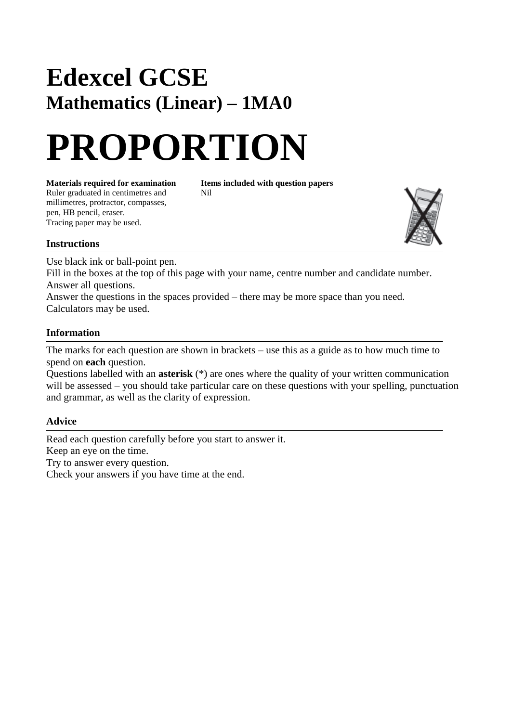## **Edexcel GCSE Mathematics (Linear) – 1MA0**

# **PROPORTION**

**Materials required for examination Items included with question papers**<br>Ruler graduated in centimetres and **Nil** Ruler graduated in centimetres and millimetres, protractor, compasses, pen, HB pencil, eraser. Tracing paper may be used.



### **Instructions**

Use black ink or ball-point pen.

Fill in the boxes at the top of this page with your name, centre number and candidate number. Answer all questions.

Answer the questions in the spaces provided – there may be more space than you need. Calculators may be used.

### **Information**

The marks for each question are shown in brackets – use this as a guide as to how much time to spend on **each** question.

Questions labelled with an **asterisk** (\*) are ones where the quality of your written communication will be assessed – you should take particular care on these questions with your spelling, punctuation and grammar, as well as the clarity of expression.

### **Advice**

Read each question carefully before you start to answer it. Keep an eye on the time. Try to answer every question. Check your answers if you have time at the end.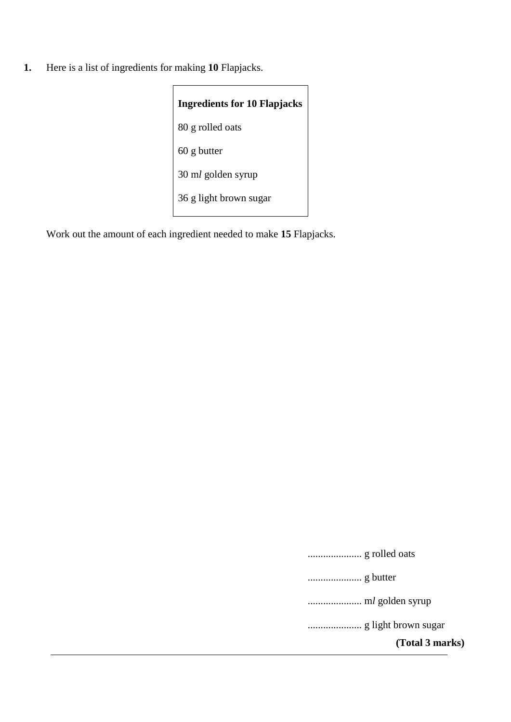**1.** Here is a list of ingredients for making **10** Flapjacks.

| <b>Ingredients for 10 Flapjacks</b> |  |  |
|-------------------------------------|--|--|
| 80 g rolled oats                    |  |  |
| $60$ g butter                       |  |  |
| 30 ml golden syrup                  |  |  |
| 36 g light brown sugar              |  |  |

Work out the amount of each ingredient needed to make **15** Flapjacks.

..................... g rolled oats ..................... g butter ..................... m*l* golden syrup ..................... g light brown sugar

**(Total 3 marks)**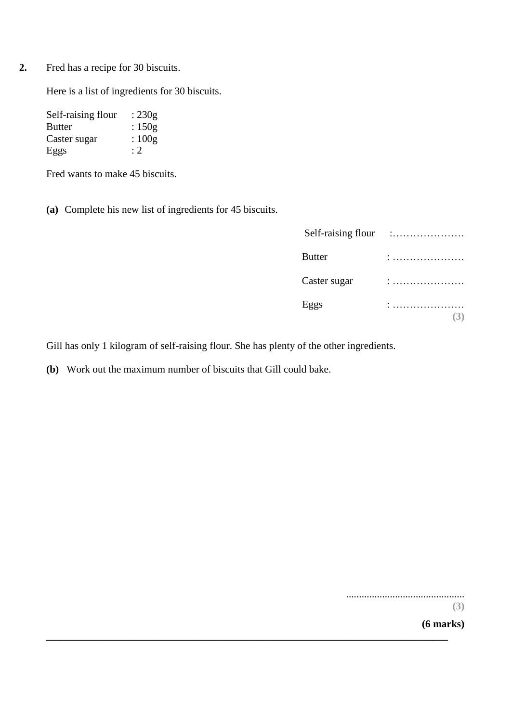**2.** Fred has a recipe for 30 biscuits.

Here is a list of ingredients for 30 biscuits.

| Self-raising flour | : $230g$ |
|--------------------|----------|
| Butter             | : $150g$ |
| Caster sugar       | : $100g$ |
| Eggs               | :2       |

Fred wants to make 45 biscuits.

**(a)** Complete his new list of ingredients for 45 biscuits.

| Self-raising flour |  |
|--------------------|--|
| <b>Butter</b>      |  |
| Caster sugar       |  |
| Eggs               |  |
|                    |  |

Gill has only 1 kilogram of self-raising flour. She has plenty of the other ingredients.

**\_\_\_\_\_\_\_\_\_\_\_\_\_\_\_\_\_\_\_\_\_\_\_\_\_\_\_\_\_\_\_\_\_\_\_\_\_\_\_\_\_\_\_\_\_\_\_\_\_\_\_\_\_\_\_\_\_\_\_\_\_\_\_\_\_\_\_\_\_\_\_\_\_\_\_\_\_\_**

**(b)** Work out the maximum number of biscuits that Gill could bake.

..............................................

**(3)**

**(6 marks)**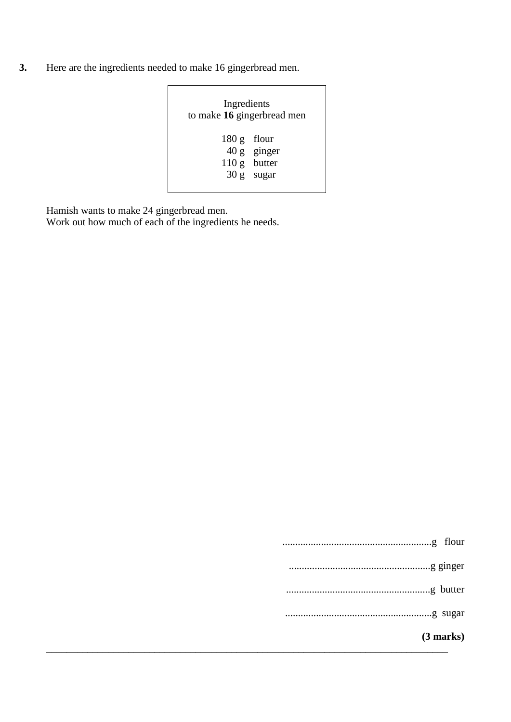**3.** Here are the ingredients needed to make 16 gingerbread men.

| Ingredients<br>to make 16 gingerbread men |                                             |  |
|-------------------------------------------|---------------------------------------------|--|
| $180 g$ flour                             | 40 g ginger<br>110 g butter<br>$30 g$ sugar |  |

Hamish wants to make 24 gingerbread men.

Work out how much of each of the ingredients he needs.

| butter |
|--------|
|        |
| flour  |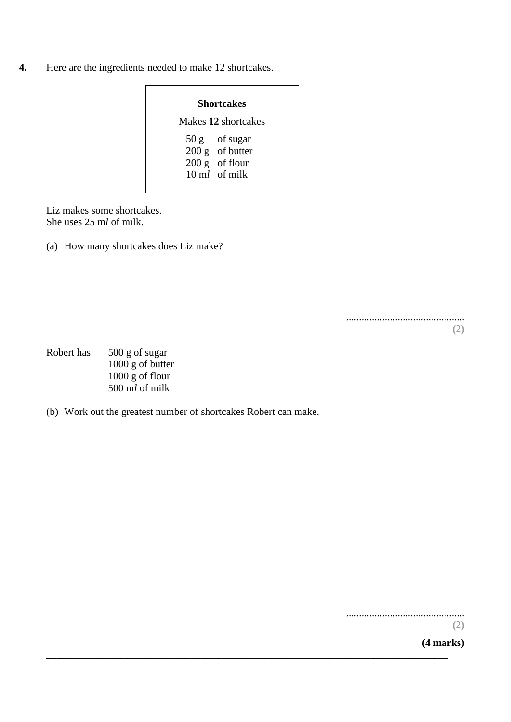**4.** Here are the ingredients needed to make 12 shortcakes.

| Shortcakes          |                                                                                     |  |
|---------------------|-------------------------------------------------------------------------------------|--|
| Makes 12 shortcakes |                                                                                     |  |
|                     | $50 g$ of sugar<br>$200 g$ of butter<br>$200 g$ of flour<br>$10 \text{ ml}$ of milk |  |

Liz makes some shortcakes. She uses 25 m*l* of milk.

(a) How many shortcakes does Liz make?

.............................................. **(2)**

- Robert has 500 g of sugar 1000 g of butter 1000 g of flour 500 m*l* of milk
- (b) Work out the greatest number of shortcakes Robert can make.

**\_\_\_\_\_\_\_\_\_\_\_\_\_\_\_\_\_\_\_\_\_\_\_\_\_\_\_\_\_\_\_\_\_\_\_\_\_\_\_\_\_\_\_\_\_\_\_\_\_\_\_\_\_\_\_\_\_\_\_\_\_\_\_\_\_\_\_\_\_\_\_\_\_\_\_\_\_\_**

..............................................

**(2)**

**(4 marks)**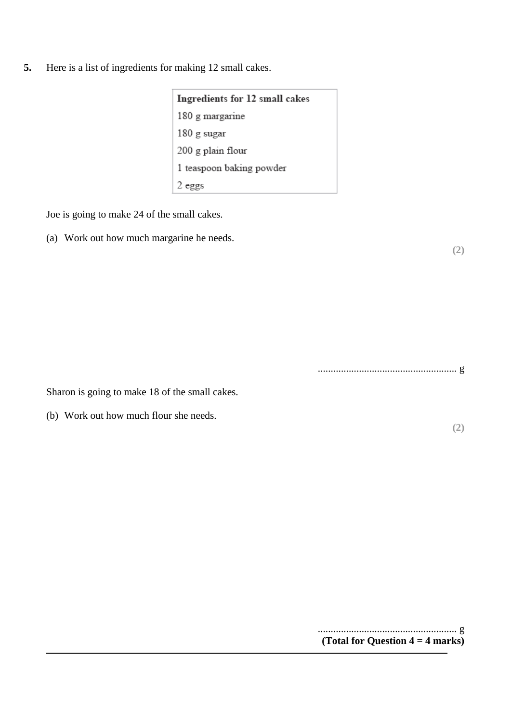**5.** Here is a list of ingredients for making 12 small cakes.

| Ingredients for 12 small cakes |  |
|--------------------------------|--|
| 180 g margarine                |  |
| 180 g sugar                    |  |
| 200 g plain flour              |  |
| 1 teaspoon baking powder       |  |
| 2 eggs                         |  |

Joe is going to make 24 of the small cakes.

(a) Work out how much margarine he needs.

...................................................... g

**(2)**

**(2)**

Sharon is going to make 18 of the small cakes.

(b) Work out how much flour she needs.

...................................................... g **(Total for Question 4 = 4 marks)**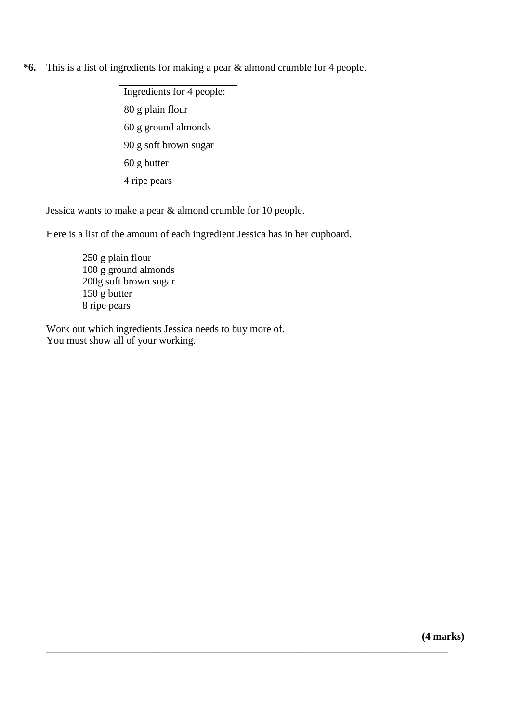- **\*6.** This is a list of ingredients for making a pear & almond crumble for 4 people.
	- Ingredients for 4 people: 80 g plain flour 60 g ground almonds 90 g soft brown sugar 60 g butter 4 ripe pears

Jessica wants to make a pear & almond crumble for 10 people.

Here is a list of the amount of each ingredient Jessica has in her cupboard.

\_\_\_\_\_\_\_\_\_\_\_\_\_\_\_\_\_\_\_\_\_\_\_\_\_\_\_\_\_\_\_\_\_\_\_\_\_\_\_\_\_\_\_\_\_\_\_\_\_\_\_\_\_\_\_\_\_\_\_\_\_\_\_\_\_\_\_\_\_\_\_\_\_\_\_\_\_\_

250 g plain flour 100 g ground almonds 200g soft brown sugar 150 g butter 8 ripe pears

Work out which ingredients Jessica needs to buy more of. You must show all of your working.

**(4 marks)**